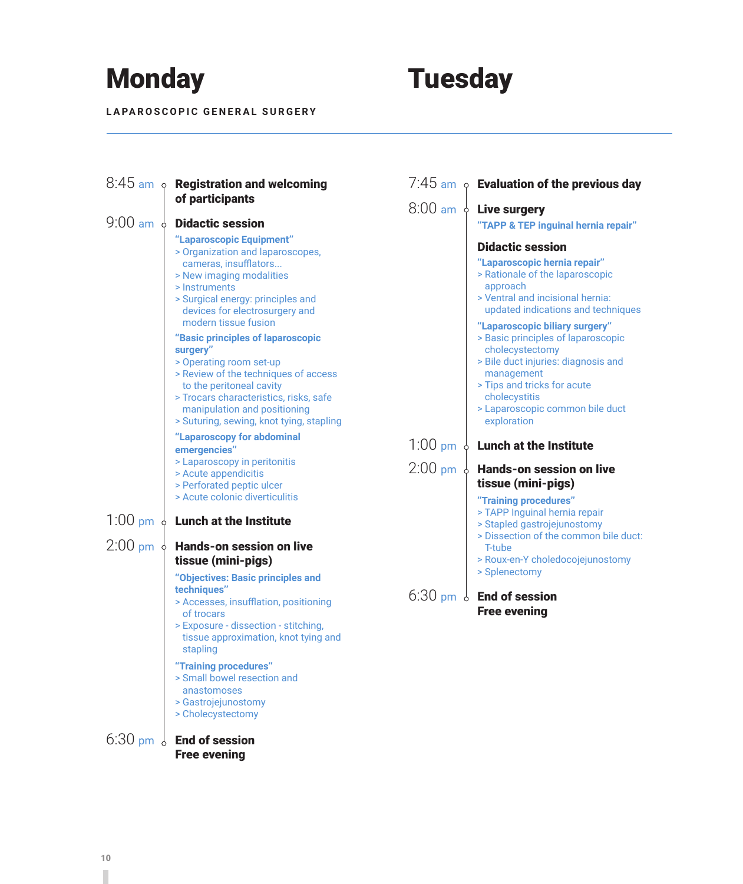# Monday Tuesday

**LAPAROSCOPIC GENERAL SURGERY**



### $6:30$  pm  $\frac{1}{6}$  End of session Free evening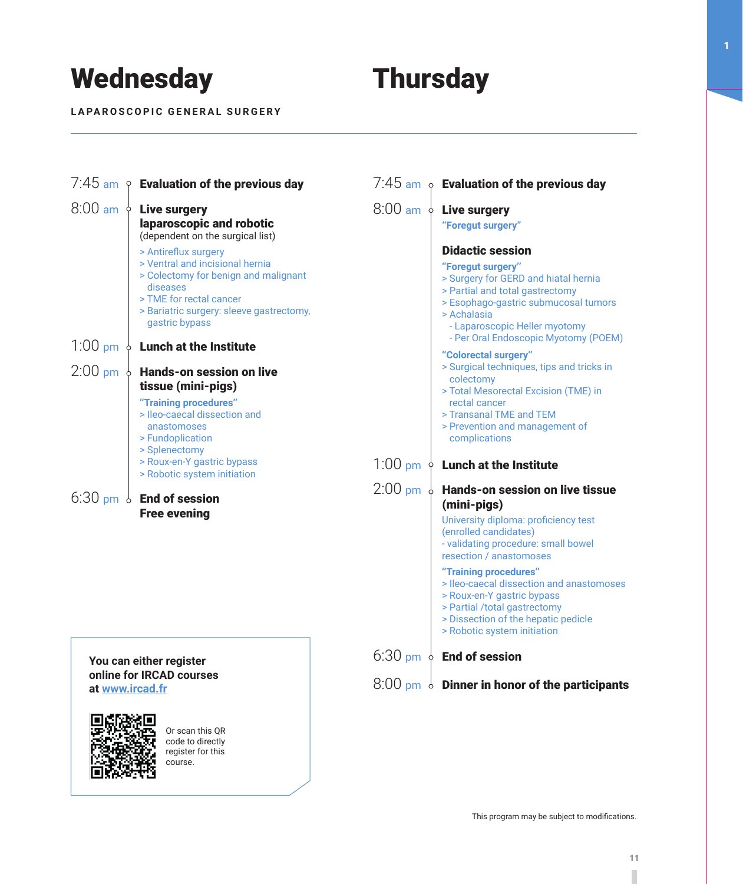## Wednesday **Thursday**

**LAPAROSCOPIC GENERAL SURGERY**



**You can either register online for IRCAD courses at www.ircad.fr**



Or scan this QR code to directly register for this course.

6:30 pm  $\phi$  End of session

### $8:00$  pm  $\delta$  Dinner in honor of the participants

1

This program may be subject to modifications.